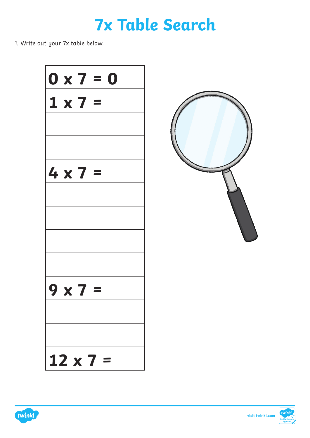### **7x Table Search**

1. Write out your 7x table below.







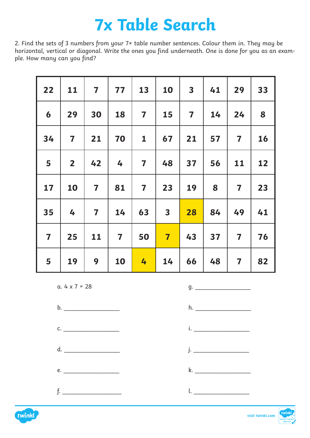### **7x Table Search**

2. Find the sets of 3 numbers from your 7× table number sentences. Colour them in. They may be horizontal, vertical or diagonal. Write the ones you find underneath. One is done for you as an example. How many can you find?

| 22                      | 11                      | $\overline{\mathbf{7}}$ | 77                      | 13                      | 10                      | $\overline{\mathbf{3}}$ | 41 | 29                      | 33 |
|-------------------------|-------------------------|-------------------------|-------------------------|-------------------------|-------------------------|-------------------------|----|-------------------------|----|
| 6                       | 29                      | 30                      | 18                      | $\overline{\mathbf{7}}$ | 15                      | $\overline{\mathbf{7}}$ | 14 | 24                      | 8  |
| 34                      | $\overline{\mathbf{7}}$ | 21                      | 70                      | $\mathbf{1}$            | 67                      | 21                      | 57 | $\overline{\mathbf{7}}$ | 16 |
| 5                       | $\overline{2}$          | 42                      | 4                       | $\overline{\mathbf{7}}$ | 48                      | 37                      | 56 | 11                      | 12 |
| 17                      | 10                      | $\overline{\mathbf{7}}$ | 81                      | $\overline{\mathbf{7}}$ | 23                      | 19                      | 8  | $\overline{\mathbf{7}}$ | 23 |
| 35                      | 4                       | $\overline{\mathbf{7}}$ | 14                      | 63                      | $\overline{\mathbf{3}}$ | 28                      | 84 | 49                      | 41 |
| $\overline{\mathbf{7}}$ | 25                      | 11                      | $\overline{\mathbf{7}}$ | 50                      | $\overline{\mathbf{7}}$ | 43                      | 37 | $\overline{\mathbf{7}}$ | 76 |
| 5                       | 19                      | 9                       | 10                      | 4                       | 14                      | 66                      | 48 | $\overline{\mathbf{7}}$ | 82 |

a.  $4 \times 7 = 28$  g.





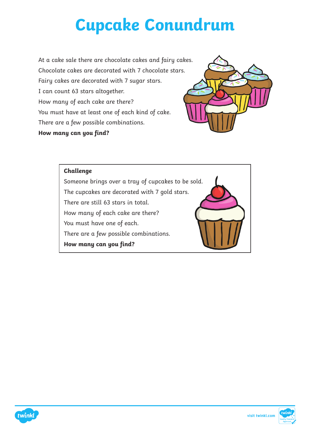## **Cupcake Conundrum**

At a cake sale there are chocolate cakes and fairy cakes. Chocolate cakes are decorated with 7 chocolate stars. Fairy cakes are decorated with 7 sugar stars. I can count 63 stars altogether. How many of each cake are there? You must have at least one of each kind of cake. There are a few possible combinations. **How many can you find?**



#### **Challenge**

Someone brings over a tray of cupcakes to be sold. The cupcakes are decorated with 7 gold stars. There are still 63 stars in total. How many of each cake are there? You must have one of each. There are a few possible combinations. **How many can you find?**





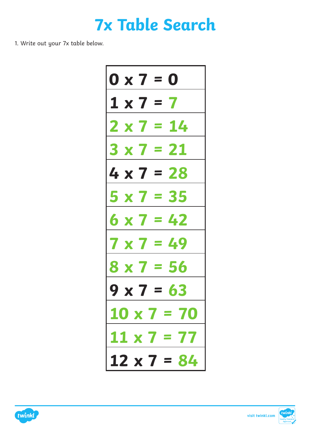

1. Write out your 7x table below.





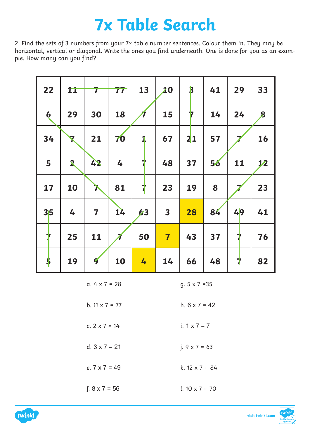### **7x Table Search**

2. Find the sets of 3 numbers from your 7× table number sentences. Colour them in. They may be horizontal, vertical or diagonal. Write the ones you find underneath. One is done for you as an example. How many can you find?

| 22                  | 11           | 7                       | 77 | 13 | 20                      | $\mathbf{B}$ | 41 | 29           | 33               |
|---------------------|--------------|-------------------------|----|----|-------------------------|--------------|----|--------------|------------------|
| $\ddot{\mathbf{6}}$ | 29           | 30                      | 18 |    | 15                      | 17           | 14 | 24           | $\boldsymbol{8}$ |
| 34                  | $\mathbf{z}$ | 21                      | 70 | 1  | 67                      | 21           | 57 |              | 16               |
| 5                   | $\mathbf{2}$ | 42                      | 4  | 7  | 48                      | 37           | 56 | 11           | 1/2              |
| 17                  | 10           | $\lambda$               | 81 | 7  | 23                      | 19           | 8  |              | 23               |
| 35                  | 4            | $\overline{\mathbf{7}}$ | 14 | 63 | $\overline{\mathbf{3}}$ | 28           | 84 | 49           | 41               |
| 7                   | 25           | 11                      |    | 50 | $\overline{\mathbf{7}}$ | 43           | 37 | 7            | 76               |
| $\ddot{\bullet}$    | 19           | $\boldsymbol{q}$        | 10 | 4  | 14                      | 66           | 48 | $\mathbf{r}$ | 82               |

a.  $4 \times 7 = 28$  g.  $5 \times 7 = 35$ 

b.  $11 \times 7 = 77$  h.  $6 \times 7 = 42$ 

c.  $2 \times 7 = 14$  i.  $1 \times 7 = 7$ 

d.  $3 \times 7 = 21$  j.  $9 \times 7 = 63$ 

e.  $7 \times 7 = 49$  k.  $12 \times 7 = 84$ 

f.  $8 \times 7 = 56$  l.  $10 \times 7 = 70$